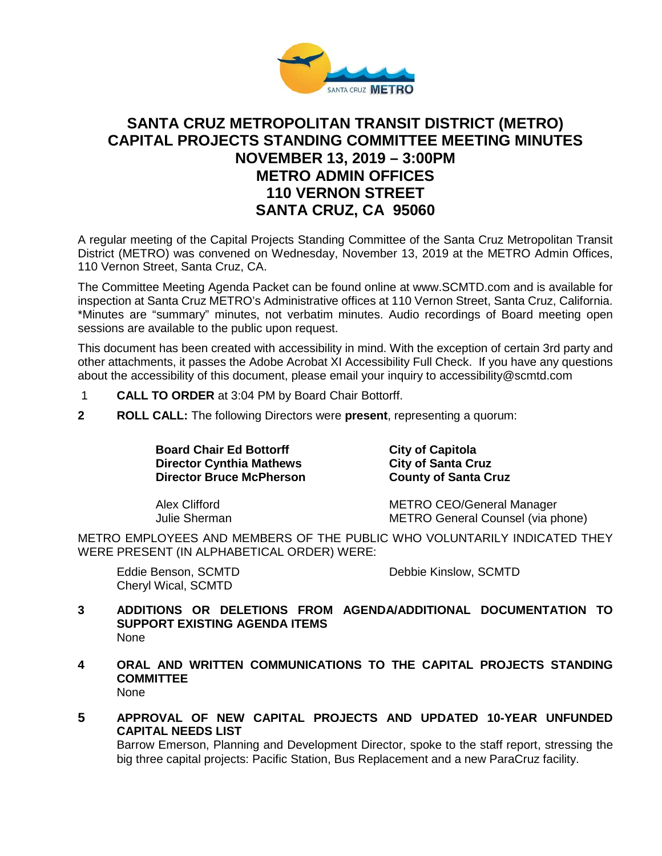

# **SANTA CRUZ METROPOLITAN TRANSIT DISTRICT (METRO) CAPITAL PROJECTS STANDING COMMITTEE MEETING MINUTES NOVEMBER 13, 2019 – 3:00PM METRO ADMIN OFFICES 110 VERNON STREET SANTA CRUZ, CA 95060**

A regular meeting of the Capital Projects Standing Committee of the Santa Cruz Metropolitan Transit District (METRO) was convened on Wednesday, November 13, 2019 at the METRO Admin Offices, 110 Vernon Street, Santa Cruz, CA.

The Committee Meeting Agenda Packet can be found online at www.SCMTD.com and is available for inspection at Santa Cruz METRO's Administrative offices at 110 Vernon Street, Santa Cruz, California. \*Minutes are "summary" minutes, not verbatim minutes. Audio recordings of Board meeting open sessions are available to the public upon request.

This document has been created with accessibility in mind. With the exception of certain 3rd party and other attachments, it passes the Adobe Acrobat XI Accessibility Full Check. If you have any questions about the accessibility of this document, please email your inquiry to accessibility@scmtd.com

- 1 **CALL TO ORDER** at 3:04 PM by Board Chair Bottorff.
- **2 ROLL CALL:** The following Directors were **present**, representing a quorum:

**Board Chair Ed Bottorff Chair City of Capitola**<br>
Director Cynthia Mathews City of Santa Cruz **Director Cynthia Mathews Director Bruce McPherson County of Santa Cruz**

Alex Clifford METRO CEO/General Manager Julie Sherman METRO General Counsel (via phone)

METRO EMPLOYEES AND MEMBERS OF THE PUBLIC WHO VOLUNTARILY INDICATED THEY WERE PRESENT (IN ALPHABETICAL ORDER) WERE:

Cheryl Wical, SCMTD

Eddie Benson, SCMTD Debbie Kinslow, SCMTD

- **3 ADDITIONS OR DELETIONS FROM AGENDA/ADDITIONAL DOCUMENTATION TO SUPPORT EXISTING AGENDA ITEMS**  None
- **4 ORAL AND WRITTEN COMMUNICATIONS TO THE CAPITAL PROJECTS STANDING COMMITTEE** None
- **5 APPROVAL OF NEW CAPITAL PROJECTS AND UPDATED 10-YEAR UNFUNDED CAPITAL NEEDS LIST**

Barrow Emerson, Planning and Development Director, spoke to the staff report, stressing the big three capital projects: Pacific Station, Bus Replacement and a new ParaCruz facility.